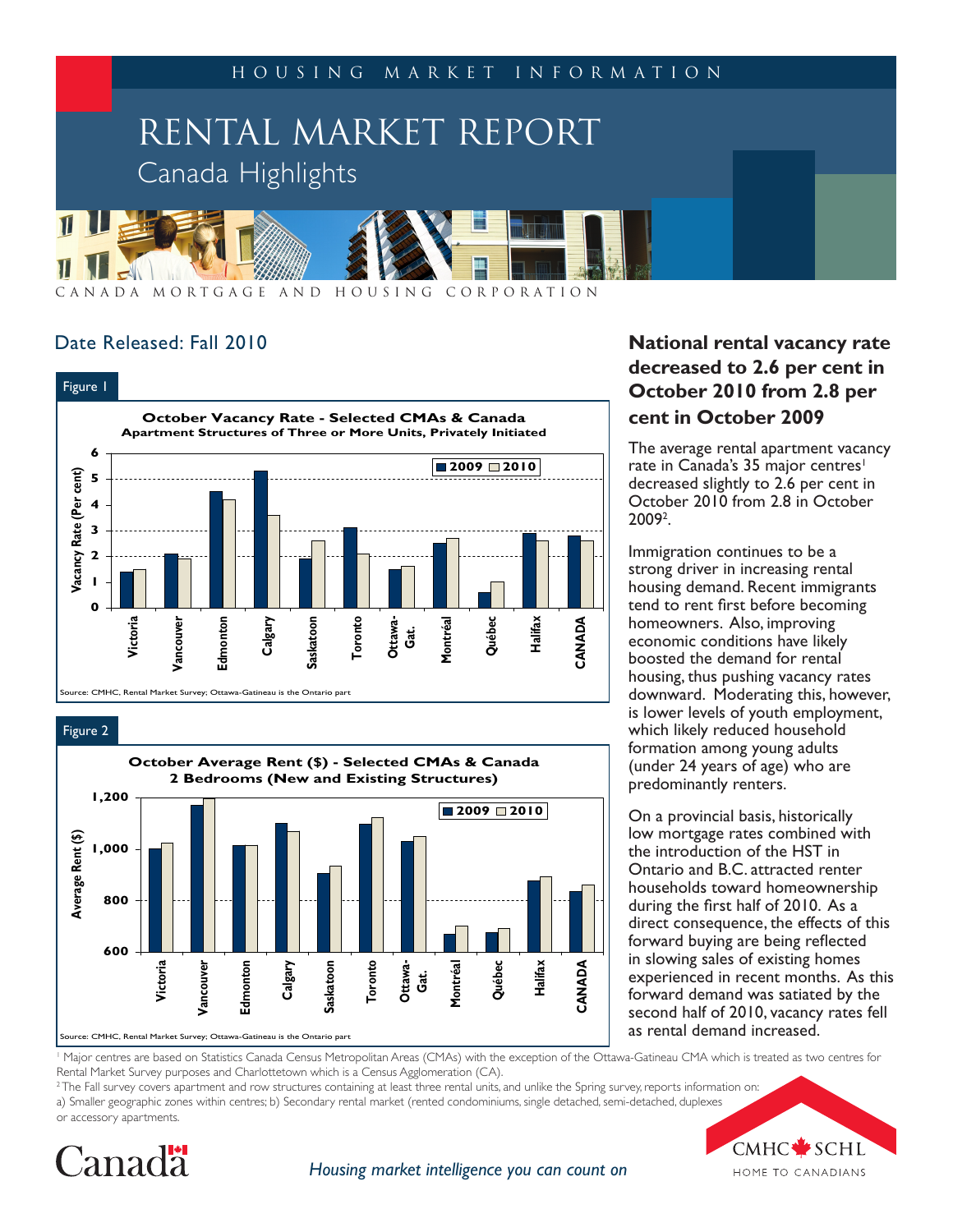

A N A D A M O R T G A G E A N D H O U S I N G C O R P O R A T I O N

# Date Released: Fall 2010



Figure 2



# **National rental vacancy rate decreased to 2.6 per cent in October 2010 from 2.8 per cent in October 2009**

The average rental apartment vacancy rate in Canada's 35 major centres<sup>1</sup> decreased slightly to 2.6 per cent in October 2010 from 2.8 in October 20092 .

Immigration continues to be a strong driver in increasing rental housing demand. Recent immigrants tend to rent first before becoming homeowners. Also, improving economic conditions have likely boosted the demand for rental housing, thus pushing vacancy rates downward. Moderating this, however, is lower levels of youth employment, which likely reduced household formation among young adults (under 24 years of age) who are predominantly renters.

On a provincial basis, historically low mortgage rates combined with the introduction of the HST in Ontario and B.C. attracted renter households toward homeownership during the first half of 2010. As a direct consequence, the effects of this forward buying are being reflected in slowing sales of existing homes experienced in recent months. As this forward demand was satiated by the second half of 2010, vacancy rates fell as rental demand increased.

Major centres are based on Statistics Canada Census Metropolitan Areas (CMAs) with the exception of the Ottawa-Gatineau CMA which is treated as two centres for Rental Market Survey purposes and Charlottetown which is a Census Agglomeration (CA).

 $2$  The Fall survey covers apartment and row structures containing at least three rental units, and unlike the Spring survey, reports information on: a) Smaller geographic zones within centres; b) Secondary rental market (rented condominiums, single detached, semi-detached, duplexes or accessory apartments.



*Housing market intelligence you can count on*

CMHC<sup>\*</sup>SCHL HOME TO CANADIANS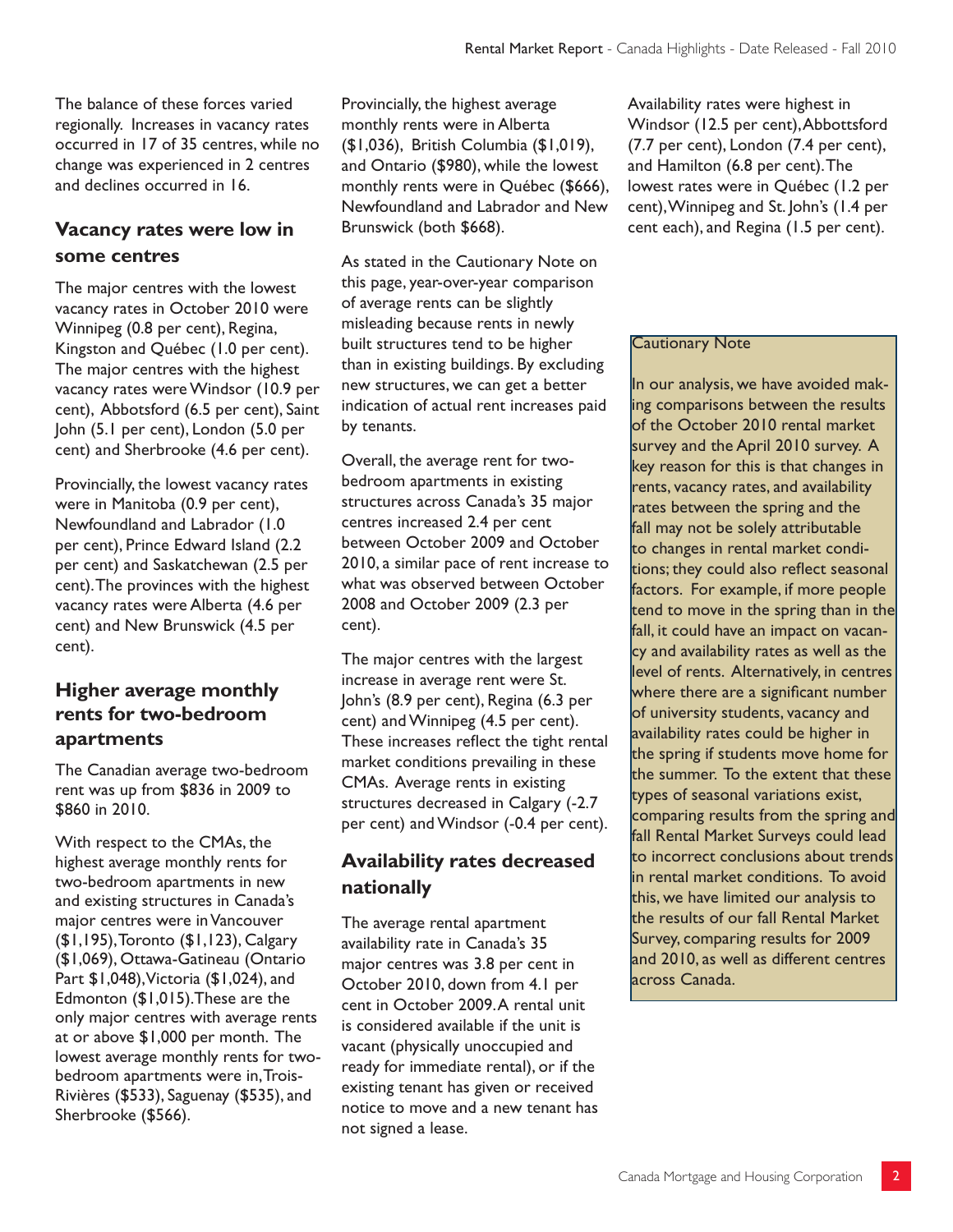The balance of these forces varied regionally. Increases in vacancy rates occurred in 17 of 35 centres, while no change was experienced in 2 centres and declines occurred in 16.

# **Vacancy rates were low in some centres**

The major centres with the lowest vacancy rates in October 2010 were Winnipeg (0.8 per cent), Regina, Kingston and Québec (1.0 per cent). The major centres with the highest vacancy rates were Windsor (10.9 per cent), Abbotsford (6.5 per cent), Saint John (5.1 per cent), London (5.0 per cent) and Sherbrooke (4.6 per cent).

Provincially, the lowest vacancy rates were in Manitoba (0.9 per cent), Newfoundland and Labrador (1.0 per cent), Prince Edward Island (2.2 per cent) and Saskatchewan (2.5 per cent). The provinces with the highest vacancy rates were Alberta (4.6 per cent) and New Brunswick (4.5 per cent).

# **Higher average monthly rents for two-bedroom apartments**

The Canadian average two-bedroom rent was up from \$836 in 2009 to \$860 in 2010.

With respect to the CMAs, the highest average monthly rents for two-bedroom apartments in new and existing structures in Canada's major centres were in Vancouver (\$1,195), Toronto (\$1,123), Calgary (\$1,069), Ottawa-Gatineau (Ontario Part \$1,048), Victoria (\$1,024), and Edmonton (\$1,015).These are the only major centres with average rents at or above \$1,000 per month. The lowest average monthly rents for twobedroom apartments were in, Trois-Rivières (\$533), Saguenay (\$535), and Sherbrooke (\$566).

Provincially, the highest average monthly rents were in Alberta (\$1,036), British Columbia (\$1,019), and Ontario (\$980), while the lowest monthly rents were in Québec (\$666), Newfoundland and Labrador and New Brunswick (both \$668).

As stated in the Cautionary Note on this page, year-over-year comparison of average rents can be slightly misleading because rents in newly built structures tend to be higher than in existing buildings. By excluding new structures, we can get a better indication of actual rent increases paid by tenants.

Overall, the average rent for twobedroom apartments in existing structures across Canada's 35 major centres increased 2.4 per cent between October 2009 and October 2010, a similar pace of rent increase to what was observed between October 2008 and October 2009 (2.3 per cent).

The major centres with the largest increase in average rent were St. John's (8.9 per cent), Regina (6.3 per cent) and Winnipeg (4.5 per cent). These increases reflect the tight rental market conditions prevailing in these CMAs. Average rents in existing structures decreased in Calgary (-2.7 per cent) and Windsor (-0.4 per cent).

# **Availability rates decreased nationally**

The average rental apartment availability rate in Canada's 35 major centres was 3.8 per cent in October 2010, down from 4.1 per cent in October 2009. A rental unit is considered available if the unit is vacant (physically unoccupied and ready for immediate rental), or if the existing tenant has given or received notice to move and a new tenant has not signed a lease.

Availability rates were highest in Windsor (12.5 per cent), Abbottsford (7.7 per cent), London (7.4 per cent), and Hamilton (6.8 per cent). The lowest rates were in Québec (1.2 per cent), Winnipeg and St. John's (1.4 per cent each), and Regina (1.5 per cent).

#### Cautionary Note

In our analysis, we have avoided making comparisons between the results of the October 2010 rental market survey and the April 2010 survey. A key reason for this is that changes in rents, vacancy rates, and availability rates between the spring and the fall may not be solely attributable to changes in rental market conditions; they could also reflect seasonal factors. For example, if more people tend to move in the spring than in the fall, it could have an impact on vacancy and availability rates as well as the level of rents. Alternatively, in centres where there are a significant number of university students, vacancy and availability rates could be higher in the spring if students move home for the summer. To the extent that these types of seasonal variations exist, comparing results from the spring and fall Rental Market Surveys could lead to incorrect conclusions about trends in rental market conditions. To avoid this, we have limited our analysis to the results of our fall Rental Market Survey, comparing results for 2009 and 2010, as well as different centres across Canada.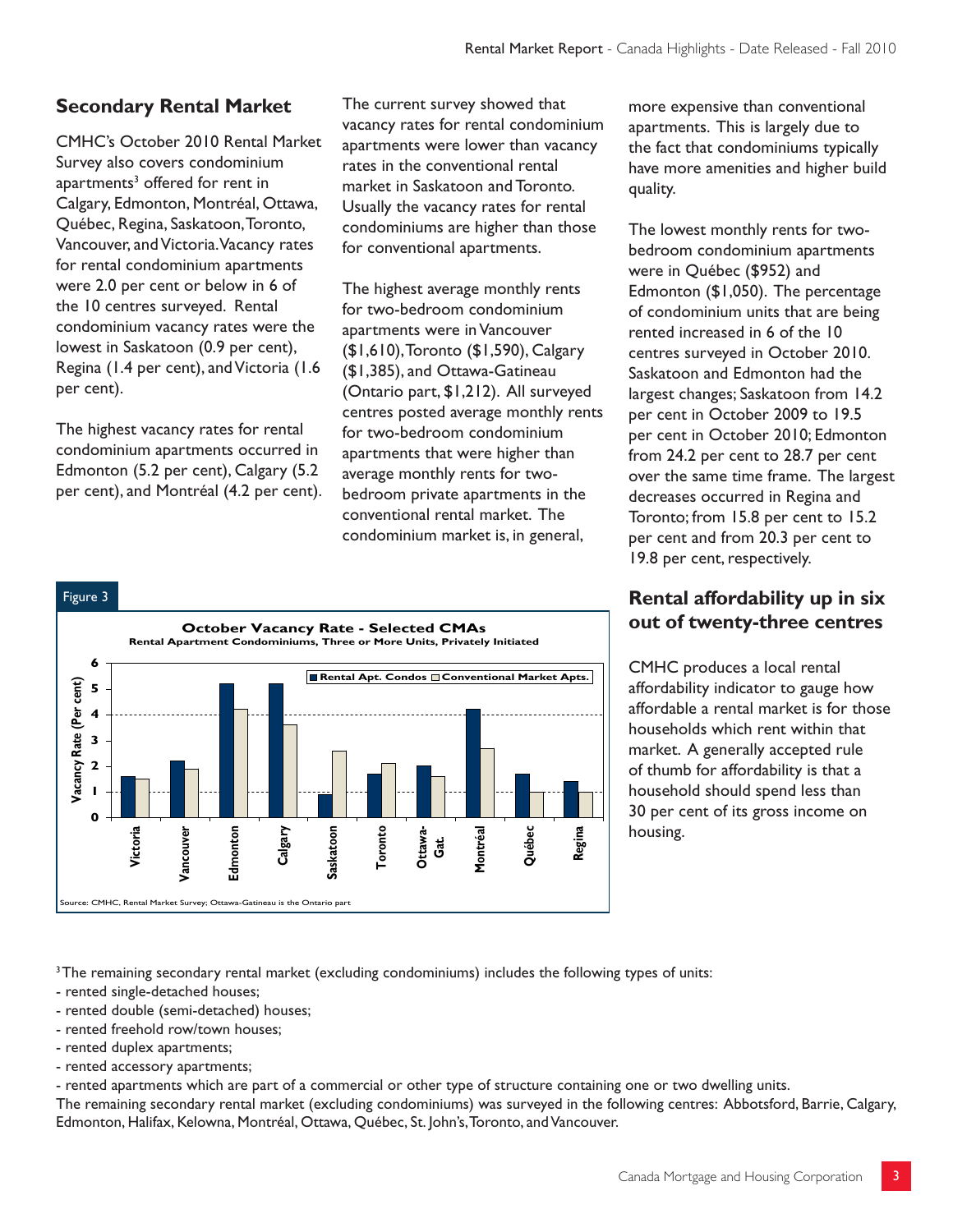## **Secondary Rental Market**

CMHC's October 2010 Rental Market Survey also covers condominium apartments<sup>3</sup> offered for rent in Calgary, Edmonton, Montréal, Ottawa, Québec, Regina, Saskatoon, Toronto, Vancouver, and Victoria. Vacancy rates for rental condominium apartments were 2.0 per cent or below in 6 of the 10 centres surveyed. Rental condominium vacancy rates were the lowest in Saskatoon (0.9 per cent), Regina (1.4 per cent), and Victoria (1.6 per cent).

The highest vacancy rates for rental condominium apartments occurred in Edmonton (5.2 per cent), Calgary (5.2 per cent), and Montréal (4.2 per cent).

The current survey showed that vacancy rates for rental condominium apartments were lower than vacancy rates in the conventional rental market in Saskatoon and Toronto. Usually the vacancy rates for rental condominiums are higher than those for conventional apartments.

The highest average monthly rents for two-bedroom condominium apartments were in Vancouver (\$1,610), Toronto (\$1,590), Calgary (\$1,385), and Ottawa-Gatineau (Ontario part, \$1,212). All surveyed centres posted average monthly rents for two-bedroom condominium apartments that were higher than average monthly rents for twobedroom private apartments in the conventional rental market. The condominium market is, in general,



### more expensive than conventional apartments. This is largely due to the fact that condominiums typically have more amenities and higher build quality.

The lowest monthly rents for twobedroom condominium apartments were in Québec (\$952) and Edmonton (\$1,050). The percentage of condominium units that are being rented increased in 6 of the 10 centres surveyed in October 2010. Saskatoon and Edmonton had the largest changes; Saskatoon from 14.2 per cent in October 2009 to 19.5 per cent in October 2010; Edmonton from 24.2 per cent to 28.7 per cent over the same time frame. The largest decreases occurred in Regina and Toronto; from 15.8 per cent to 15.2 per cent and from 20.3 per cent to 19.8 per cent, respectively.

## **Rental affordability up in six out of twenty-three centres**

CMHC produces a local rental affordability indicator to gauge how affordable a rental market is for those households which rent within that market. A generally accepted rule of thumb for affordability is that a household should spend less than 30 per cent of its gross income on housing.

<sup>3</sup>The remaining secondary rental market (excluding condominiums) includes the following types of units:

- rented single-detached houses;
- rented double (semi-detached) houses;
- rented freehold row/town houses;
- rented duplex apartments;
- rented accessory apartments;

- rented apartments which are part of a commercial or other type of structure containing one or two dwelling units.

The remaining secondary rental market (excluding condominiums) was surveyed in the following centres: Abbotsford, Barrie, Calgary, Edmonton, Halifax, Kelowna, Montréal, Ottawa, Québec, St. John's, Toronto, and Vancouver.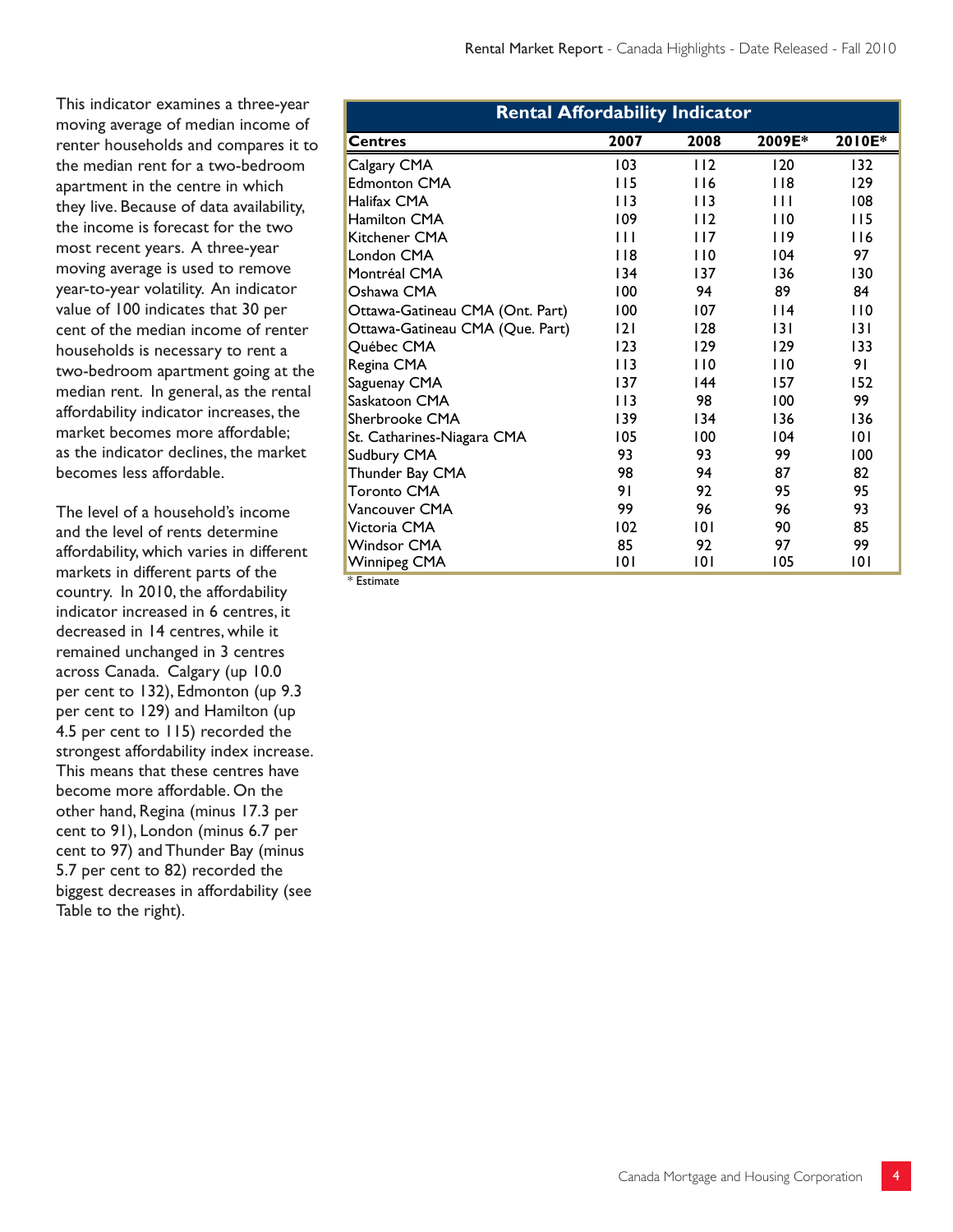This indicator examines a three-year moving average of median income of renter households and compares it to the median rent for a two-bedroom apartment in the centre in which they live. Because of data availability, the income is forecast for the two most recent years. A three-year moving average is used to remove year-to-year volatility. An indicator value of 100 indicates that 30 per cent of the median income of renter households is necessary to rent a two-bedroom apartment going at the median rent. In general, as the rental affordability indicator increases, the market becomes more affordable; as the indicator declines, the market becomes less affordable.

The level of a household's income and the level of rents determine affordability, which varies in different markets in different parts of the country. In 2010, the affordability indicator increased in 6 centres, it decreased in 14 centres, while it remained unchanged in 3 centres across Canada. Calgary (up 10.0 per cent to 132), Edmonton (up 9.3 per cent to 129) and Hamilton (up 4.5 per cent to 115) recorded the strongest affordability index increase. This means that these centres have become more affordable. On the other hand, Regina (minus 17.3 per cent to 91), London (minus 6.7 per cent to 97) and Thunder Bay (minus 5.7 per cent to 82) recorded the biggest decreases in affordability (see Table to the right).

| <b>Rental Affordability Indicator</b> |              |      |        |        |  |  |  |  |  |
|---------------------------------------|--------------|------|--------|--------|--|--|--|--|--|
| <b>Centres</b>                        | 2007         | 2008 | 2009E* | 2010E* |  |  |  |  |  |
| Calgary CMA                           | 103          | 112  | 120    | 132    |  |  |  |  |  |
| <b>Edmonton CMA</b>                   | 115          | 116  | 118    | 129    |  |  |  |  |  |
| Halifax CMA                           | 113          | 113  | Ш      | 108    |  |  |  |  |  |
| <b>Hamilton CMA</b>                   | 109          | 112  | 110    | 115    |  |  |  |  |  |
| Kitchener CMA                         | $\mathbf{H}$ | 117  | 119    | 116    |  |  |  |  |  |
| London CMA                            | 118          | 110  | 104    | 97     |  |  |  |  |  |
| Montréal CMA                          | 134          | 137  | 136    | 130    |  |  |  |  |  |
| Oshawa CMA                            | 100          | 94   | 89     | 84     |  |  |  |  |  |
| Ottawa-Gatineau CMA (Ont. Part)       | 100          | 107  | 114    | 110    |  |  |  |  |  |
| Ottawa-Gatineau CMA (Que. Part)       | 2            | 128  | 131    | 131    |  |  |  |  |  |
| Québec CMA                            | 123          | 129  | 129    | 133    |  |  |  |  |  |
| Regina CMA                            | 113          | 110  | 110    | 91     |  |  |  |  |  |
| Saguenay CMA                          | 137          | 44   | 157    | 152    |  |  |  |  |  |
| Saskatoon CMA                         | 113          | 98   | 100    | 99     |  |  |  |  |  |
| Sherbrooke CMA                        | 139          | 134  | 136    | 136    |  |  |  |  |  |
| St. Catharines-Niagara CMA            | 105          | 100  | 104    | 101    |  |  |  |  |  |
| Sudbury CMA                           | 93           | 93   | 99     | 100    |  |  |  |  |  |
| Thunder Bay CMA                       | 98           | 94   | 87     | 82     |  |  |  |  |  |
| <b>Toronto CMA</b>                    | 91           | 92   | 95     | 95     |  |  |  |  |  |
| Vancouver CMA                         | 99           | 96   | 96     | 93     |  |  |  |  |  |
| Victoria CMA                          | 102          | 101  | 90     | 85     |  |  |  |  |  |
| <b>Windsor CMA</b>                    | 85           | 92   | 97     | 99     |  |  |  |  |  |
| Winnipeg CMA                          | 101          | 101  | 105    | 101    |  |  |  |  |  |

\* Estimate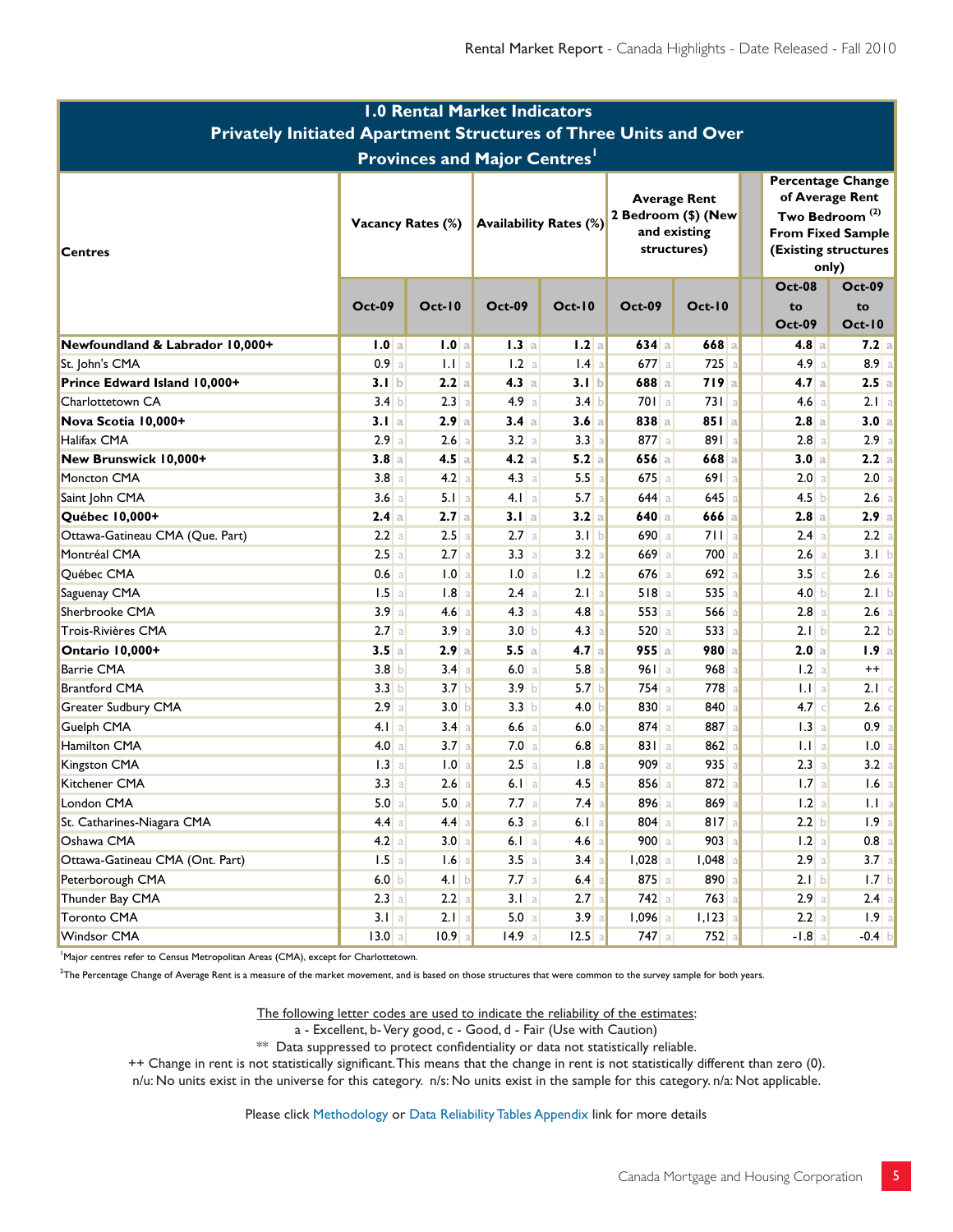| <b>1.0 Rental Market Indicators</b>                              |                   |                         |                  |                               |                    |                                                                           |                                                                                                                                        |                     |  |  |
|------------------------------------------------------------------|-------------------|-------------------------|------------------|-------------------------------|--------------------|---------------------------------------------------------------------------|----------------------------------------------------------------------------------------------------------------------------------------|---------------------|--|--|
| Privately Initiated Apartment Structures of Three Units and Over |                   |                         |                  |                               |                    |                                                                           |                                                                                                                                        |                     |  |  |
| <b>Provinces and Major Centres'</b>                              |                   |                         |                  |                               |                    |                                                                           |                                                                                                                                        |                     |  |  |
| <b>Centres</b>                                                   | Vacancy Rates (%) |                         |                  | <b>Availability Rates (%)</b> |                    | <b>Average Rent</b><br>2 Bedroom (\$) (New<br>and existing<br>structures) | <b>Percentage Change</b><br>of Average Rent<br>Two Bedroom <sup>(2)</sup><br><b>From Fixed Sample</b><br>(Existing structures<br>only) |                     |  |  |
|                                                                  | <b>Oct-09</b>     | $Oct-10$                | <b>Oct-09</b>    | $Oct-10$                      | <b>Oct-09</b>      | $Oct-10$                                                                  | <b>Oct-08</b><br>to                                                                                                                    | <b>Oct-09</b><br>to |  |  |
|                                                                  |                   |                         |                  |                               |                    |                                                                           | <b>Oct-09</b>                                                                                                                          | <b>Oct-10</b>       |  |  |
| Newfoundland & Labrador 10,000+                                  | 1.0 a<br>0.9a     | 1.0 a<br>$\mathbf{L}$ a | 1.3 a<br>1.2a    | 1.2a<br>$1.4$ a               | $634$ a<br>$677$ a | $668$ a<br>$725$ a                                                        | $4.8$ a<br>4.9a                                                                                                                        | 7.2 a <br>8.9 a     |  |  |
| St. John's CMA<br>Prince Edward Island 10,000+                   | 3.1 b             | 2.2a                    | 4.3a             | 3.1 b                         | 688 a              | 719a                                                                      | 4.7a                                                                                                                                   | 2.5 a               |  |  |
| Charlottetown CA                                                 | 3.4 b             | 2.3<br>a                | 4.9a             | 3.4 b                         | 701a               | $731$ a                                                                   | 4.6a                                                                                                                                   | 2.1 a               |  |  |
| Nova Scotia 10,000+                                              | 3.1 a             | 2.9a                    | 3.4 a            | 3.6a                          | 838a               | 851a                                                                      | $2.8$ a                                                                                                                                | 3.0 a               |  |  |
| Halifax CMA                                                      | 2.9a              | 2.6<br>a                | 3.2 a            | 3.3 a                         | 877 a              | 891a                                                                      | $2.8$ a                                                                                                                                | $2.9$ a             |  |  |
| New Brunswick 10,000+                                            | 3.8a              | 4.5a                    | 4.2a             | 5.2a                          | $656$ a            | 668 a                                                                     | 3.0 a                                                                                                                                  | 2.2 a               |  |  |
| Moncton CMA                                                      | 3.8a              | 4.2<br>a                | 4.3 a            | 5.5a                          | $675$ a            | 691 a                                                                     | 2.0 a                                                                                                                                  | 2.0 a               |  |  |
| Saint John CMA                                                   | 3.6a              | $5.1$ a                 | $4.1$   a        | 5.7a                          | $644$ a            | $645$ a                                                                   | 4.5 b                                                                                                                                  | $2.6$ a             |  |  |
| Québec 10,000+                                                   | 2.4a              | 2.7a                    | 3.1 a            | 3.2 a                         | $640$ a            | $666$ a                                                                   | 2.8 a                                                                                                                                  | 2.9 a               |  |  |
| Ottawa-Gatineau CMA (Que. Part)                                  | $2.2$ a           | 2.5<br>a                | $2.7$ a          | 3.1 b                         | 690 a              | 711a                                                                      | 2.4 a                                                                                                                                  | $2.2$ a             |  |  |
| Montréal CMA                                                     | 2.5a              | 2.7<br>a                | 3.3 a            | 3.2 a                         | 669 a              | 700 <sup>a</sup>                                                          | 2.6 a                                                                                                                                  | 3.1 b               |  |  |
| Québec CMA                                                       | $0.6$ a           | 1.0                     | 1.0 a            | 1.2 a                         | $676$ a            | 692a                                                                      | $3.5$ c                                                                                                                                | $2.6$ a             |  |  |
| Saguenay CMA                                                     | $1.5$ a           | 1.8                     | 2.4a             | $2.1$ a                       | 518a               | 535a                                                                      | 4.0 b                                                                                                                                  | 2.1 b               |  |  |
| Sherbrooke CMA                                                   | 3.9a              | 4.6<br>a                | 4.3 a            | $4.8$ a                       | $553$ a            | $566$ a                                                                   | 2.8 a                                                                                                                                  | $2.6$ a             |  |  |
| Trois-Rivières CMA                                               | 2.7a              | 3.9<br>a                | 3.0 <sub>b</sub> | $4.3$ a                       | $520$ a            | 533a                                                                      | 2.1 b                                                                                                                                  | 2.2 <sub>b</sub>    |  |  |
| Ontario 10,000+                                                  | 3.5a              | 2.9a                    | 5.5a             | 4.7a                          | $955$ a            | 980 a                                                                     | 2.0 a                                                                                                                                  | 1.9 a               |  |  |
| Barrie CMA                                                       | 3.8 <sub>b</sub>  | 3.4<br>a                | 6.0 a            | $5.8$ a                       | 961a               | 968                                                                       | 1.2 a                                                                                                                                  | $++$                |  |  |
| Brantford CMA                                                    | 3.3 <sub>b</sub>  | 3.7 <sub>b</sub>        | 3.9 <sub>b</sub> | 5.7 b                         | $754$ a            | 778                                                                       | $1.1$   a                                                                                                                              | $2.1$ c             |  |  |
| Greater Sudbury CMA                                              | 2.9a              | 3.0 <sub>b</sub>        | 3.3 b            | 4.0 b                         | 830 a              | 840                                                                       | $4.7$ $\circ$                                                                                                                          | 2.6                 |  |  |
| Guelph CMA                                                       | 4.1 a             | 3.4 <sub>a</sub>        | $6.6$ a          | 6.0 a                         | $874$ a            | 887 a                                                                     | 1.3 a                                                                                                                                  | $0.9$ a             |  |  |
| Hamilton CMA                                                     | 4.0 a             | 3.7 <sub>a</sub>        | 7.0 a            | $6.8$ a                       | 831a               | 862                                                                       | $1.1$ a                                                                                                                                | 1.0 a               |  |  |
| Kingston CMA                                                     | 1.3a              | 1.0                     | 2.5a             | $1.8$ a                       | $909$ a            | $935$ a                                                                   | 2.3 a                                                                                                                                  | 3.2 a               |  |  |
| Kitchener CMA                                                    | 3.3 a             | 2.6                     | $6.1$ a          | 4.5a                          | 856a               | 872a                                                                      | 1.7a                                                                                                                                   | $1.6$   a           |  |  |
| London CMA                                                       | 5.0 a             | 5.0 <sub>a</sub>        | $7.7$ a          | $7.4$ a                       | 896 a              | 869 <sup>a</sup>                                                          | 1.2 a                                                                                                                                  | $1.1$ a             |  |  |
| St. Catharines-Niagara CMA                                       | $4.4$ a           | $4.4$ a                 | $6.3$ a          | $6.1$ a                       | $804$ a            | $817$ a                                                                   | 2.2 b                                                                                                                                  | $1.9$   a           |  |  |
| Oshawa CMA                                                       | 4.2 a             | 3.0 <sub>a</sub>        | $6.1$ a          | $4.6$ a                       | $900$ a            | $903$ a                                                                   | $1.2$ a                                                                                                                                | $0.8$ a             |  |  |
| Ottawa-Gatineau CMA (Ont. Part)                                  | $1.5$ a           | $1.6$ a                 | $3.5$ a          | $3.4$ a                       | $1,028$ a          | $1,048$ a                                                                 | $2.9$ a                                                                                                                                | 3.7 a               |  |  |
| Peterborough CMA                                                 | 6.0 b             | 4.1 b                   | $7.7$ a          | $6.4$ a                       | 875a               | 890 a                                                                     | 2.1 b                                                                                                                                  | $1.7$ b             |  |  |
| Thunder Bay CMA                                                  | $2.3$ a           | $2.2$ a                 | 3.1 a            | $2.7$ a                       | $742$ a            | $763$ a                                                                   | 2.9a                                                                                                                                   | $2.4 \text{ a}$     |  |  |
| <b>Toronto CMA</b>                                               | 3.1 a             | $2.1$ a                 | 5.0 a            | 3.9a                          | $1,096$ a          | $1,123$ a                                                                 | 2.2 a                                                                                                                                  | 1.9 a               |  |  |
| Windsor CMA                                                      | 13.0 a            | $10.9$ a                | $14.9$ a         | $12.5$ a                      | $747$ a            | $752$ a                                                                   | $-1.8$ a                                                                                                                               | $-0.4$ b            |  |  |

<sup>1</sup>Major centres refer to Census Metropolitan Areas (CMA), except for Charlottetown.

 $2$ The Percentage Change of Average Rent is a measure of the market movement, and is based on those structures that were common to the survey sample for both years.

The following letter codes are used to indicate the reliability of the estimates:

a - Excellent, b-Very good, c - Good, d - Fair (Use with Caution)

\*\* Data suppressed to protect confidentiality or data not statistically reliable.

++ Change in rent is not statistically significant. This means that the change in rent is not statistically different than zero (0).

n/u: No units exist in the universe for this category. n/s: No units exist in the sample for this category. n/a: Not applicable.

Please click Methodology or Data Reliability Tables Appendix link for more details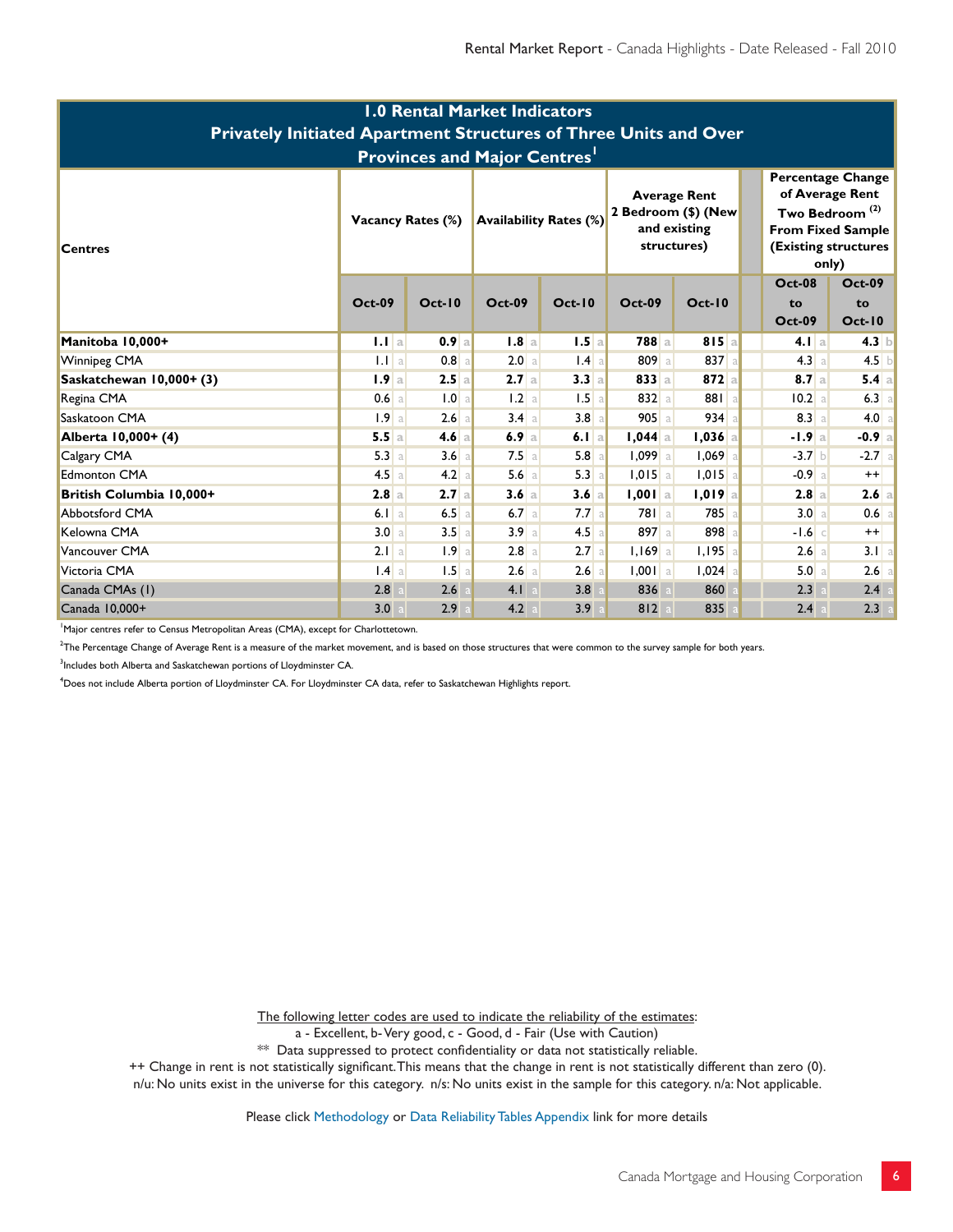| <b>1.0 Rental Market Indicators</b><br>Privately Initiated Apartment Structures of Three Units and Over<br><b>Provinces and Major Centres'</b> |                   |                           |         |                               |           |                                                                           |                                                                                                                                        |                                      |  |  |  |
|------------------------------------------------------------------------------------------------------------------------------------------------|-------------------|---------------------------|---------|-------------------------------|-----------|---------------------------------------------------------------------------|----------------------------------------------------------------------------------------------------------------------------------------|--------------------------------------|--|--|--|
| <b>Centres</b>                                                                                                                                 | Vacancy Rates (%) |                           |         | <b>Availability Rates (%)</b> |           | <b>Average Rent</b><br>2 Bedroom (\$) (New<br>and existing<br>structures) | <b>Percentage Change</b><br>of Average Rent<br>Two Bedroom <sup>(2)</sup><br><b>From Fixed Sample</b><br>(Existing structures<br>only) |                                      |  |  |  |
|                                                                                                                                                | <b>Oct-09</b>     | $Oct-10$<br><b>Oct-09</b> |         | $Oct-10$                      | $Oct-09$  | $Oct-10$                                                                  | <b>Oct-08</b><br>to<br><b>Oct-09</b>                                                                                                   | <b>Oct-09</b><br>to<br><b>Oct-10</b> |  |  |  |
| Manitoba 10,000+                                                                                                                               | $1.1$ a           | 0.9a                      | 1.8a    | $1.5$ a                       | $788$ a   | 815a                                                                      | $4.1$ a                                                                                                                                | $4.3$ b                              |  |  |  |
| Winnipeg CMA                                                                                                                                   | $1.1$ a           | $0.8$ a                   | 2.0 a   | $1.4$ a                       | 809a      | $837$ a                                                                   | 4.3 a                                                                                                                                  | $4.5$ b                              |  |  |  |
| Saskatchewan 10,000+ (3)                                                                                                                       | 1.9a              | 2.5a                      | 2.7a    | 3.3 a                         | $833$ a   | $872$ a                                                                   | 8.7a                                                                                                                                   | 5.4 a                                |  |  |  |
| Regina CMA                                                                                                                                     | $0.6$ a           | 1.0 a                     | $1.2$ a | $1.5$ a                       | $832$ a   | 881a                                                                      | 10.2 a                                                                                                                                 | $6.3$ a                              |  |  |  |
| Saskatoon CMA                                                                                                                                  | 1.9a              | 2.6a                      | 3.4 a   | $3.8$ a                       | $905$ a   | $934$ a                                                                   | 8.3 a                                                                                                                                  | 4.0 a                                |  |  |  |
| Alberta 10,000+ (4)                                                                                                                            | 5.5a              | 4.6a                      | 6.9a    | 6.1 a                         | $I,044$ a | $1,036$ a                                                                 | $-1.9a$                                                                                                                                | $-0.9$ a                             |  |  |  |
| Calgary CMA                                                                                                                                    | 5.3 a             | 3.6a                      | $7.5$ a | 5.8a                          | $1,099$ a | $1,069$ a                                                                 | $-3.7b$                                                                                                                                | $-2.7$ a                             |  |  |  |
| <b>Edmonton CMA</b>                                                                                                                            | $4.5$ a           | 4.2 a                     | $5.6$ a | 5.3 a                         | $1,015$ a | $1,015$ a                                                                 | $-0.9$ a                                                                                                                               | $++$                                 |  |  |  |
| British Columbia 10,000+                                                                                                                       | 2.8a              | 2.7a                      | 3.6a    | 3.6a                          | $1,001$ a | $1,019$   a                                                               | 2.8 a                                                                                                                                  | 2.6 a                                |  |  |  |
| <b>Abbotsford CMA</b>                                                                                                                          | $6.1$ a           | 6.5<br>a                  | 6.7a    | 7.7a                          | 781a      | 785                                                                       | 3.0 a                                                                                                                                  | $0.6$ a                              |  |  |  |
| Kelowna CMA                                                                                                                                    | 3.0 a             | 3.5a                      | 3.9a    | $4.5$ a                       | 897 a     | 898 a                                                                     | $-1.6$ c                                                                                                                               | $^{++}$                              |  |  |  |
| Vancouver CMA                                                                                                                                  | 2.1 a             | 1.9<br>a                  | $2.8$ a | $2.7$ a                       | $1,169$ a | $1,195$ a                                                                 | 2.6 a                                                                                                                                  | 3.1 a                                |  |  |  |
| Victoria CMA                                                                                                                                   | $1.4$ a           | 1.5<br>a                  | $2.6$ a | 2.6<br>a                      | $1,001$ a | $1,024$ a                                                                 | 5.0 a                                                                                                                                  | $2.6$ a                              |  |  |  |
| Canada CMAs (1)                                                                                                                                | 2.8               | 2.6                       | $4.1$ a | 3.8                           | 836       | 860                                                                       | 2.3                                                                                                                                    | 2.4                                  |  |  |  |
| Canada 10,000+                                                                                                                                 | 3.0               | 2.9                       | 4.2     | 3.9                           | 812       | 835                                                                       | 2.4                                                                                                                                    | 2.3                                  |  |  |  |

<sup>1</sup>Major centres refer to Census Metropolitan Areas (CMA), except for Charlottetown.

 $2$ The Percentage Change of Average Rent is a measure of the market movement, and is based on those structures that were common to the survey sample for both years.

<sup>3</sup>Includes both Alberta and Saskatchewan portions of Lloydminster CA.

<sup>4</sup>Does not include Alberta portion of Lloydminster CA. For Lloydminster CA data, refer to Saskatchewan Highlights report.

The following letter codes are used to indicate the reliability of the estimates:

a - Excellent, b-Very good, c - Good, d - Fair (Use with Caution)

\*\* Data suppressed to protect confidentiality or data not statistically reliable.

++ Change in rent is not statistically significant. This means that the change in rent is not statistically different than zero (0).

n/u: No units exist in the universe for this category. n/s: No units exist in the sample for this category. n/a: Not applicable.

Please click Methodology or Data Reliability Tables Appendix link for more details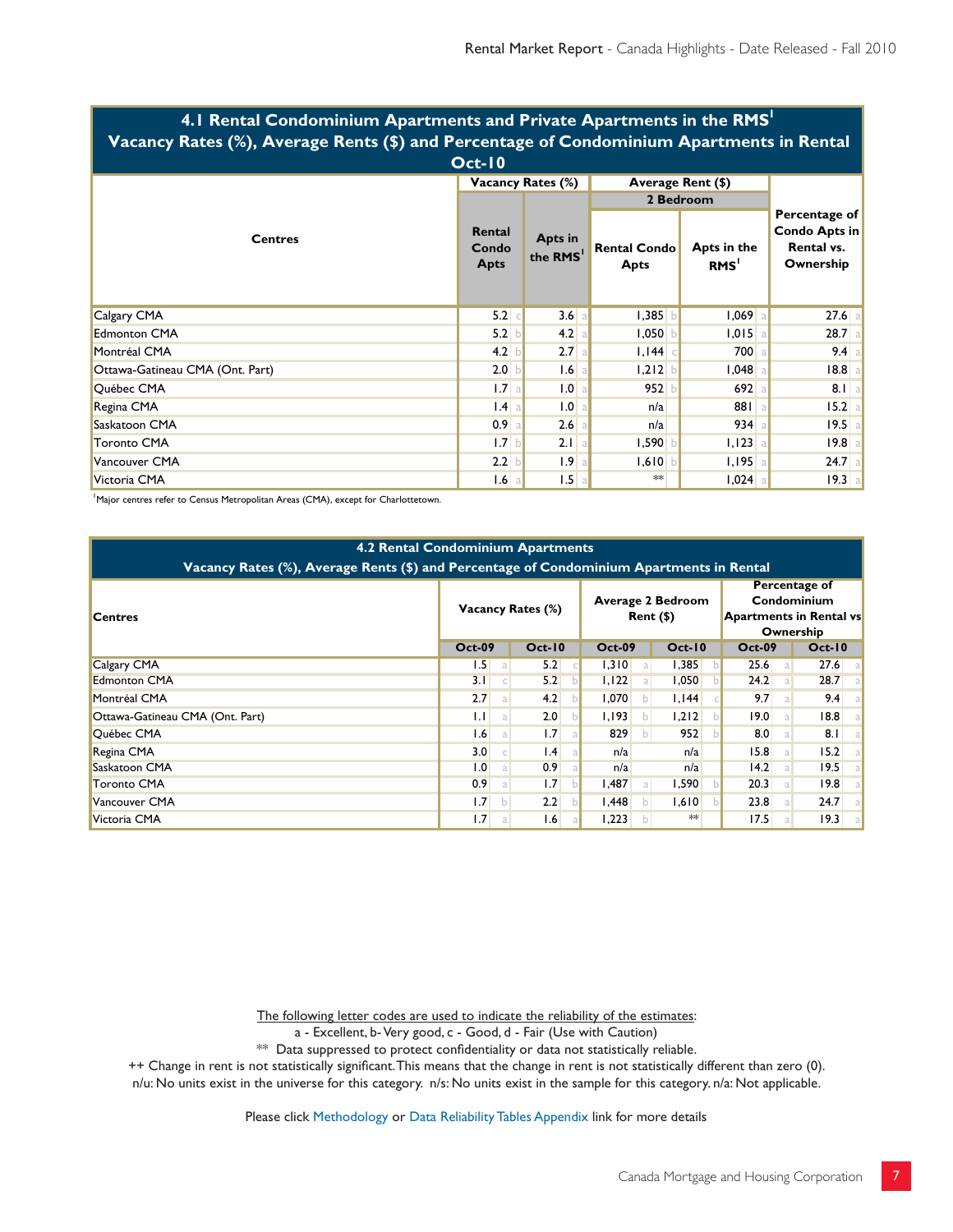| 7. I Rental Condominium Apartments and Frivate Apartments in the Kris<br>Vacancy Rates (%), Average Rents (\$) and Percentage of Condominium Apartments in Rental |                                |                                        |                                    |                                 |                                                                  |  |  |  |  |  |  |  |
|-------------------------------------------------------------------------------------------------------------------------------------------------------------------|--------------------------------|----------------------------------------|------------------------------------|---------------------------------|------------------------------------------------------------------|--|--|--|--|--|--|--|
| $Oct-10$                                                                                                                                                          |                                |                                        |                                    |                                 |                                                                  |  |  |  |  |  |  |  |
| <b>Centres</b>                                                                                                                                                    |                                | <b>Vacancy Rates (%)</b>               | Average Rent (\$)                  |                                 |                                                                  |  |  |  |  |  |  |  |
|                                                                                                                                                                   |                                |                                        | 2 Bedroom                          |                                 |                                                                  |  |  |  |  |  |  |  |
|                                                                                                                                                                   | Rental<br>Condo<br><b>Apts</b> | <b>Apts in</b><br>the RMS <sup>I</sup> | <b>Rental Condo</b><br><b>Apts</b> | Apts in the<br>RMS <sup>'</sup> | Percentage of<br><b>Condo Apts in</b><br>Rental vs.<br>Ownership |  |  |  |  |  |  |  |
| Calgary CMA                                                                                                                                                       | $5.2$ $\circ$                  | $3.6$ a                                | $1,385$ b                          | $1,069$ a                       | $27.6$ a                                                         |  |  |  |  |  |  |  |
| <b>Edmonton CMA</b>                                                                                                                                               | 5.2 b                          | 4.2 a                                  | 1,050                              | $1,015$ a                       | $28.7$ a                                                         |  |  |  |  |  |  |  |
| Montréal CMA                                                                                                                                                      | 4.2                            | 2.7a                                   | I, I44                             | 700 a                           | $9.4$ a                                                          |  |  |  |  |  |  |  |
| Ottawa-Gatineau CMA (Ont. Part)                                                                                                                                   | 2.0 <sub>b</sub>               | $1.6$ a                                | $1,212$ b                          | $1,048$ a                       | 18.8 a                                                           |  |  |  |  |  |  |  |
| Québec CMA                                                                                                                                                        | 1.7 <sub>a</sub>               | .0                                     | 952                                | 692 a                           | $8.1$ a                                                          |  |  |  |  |  |  |  |
| Regina CMA                                                                                                                                                        | $1.4$ a                        | .0                                     | n/a                                | 881 a                           | 15.2 a                                                           |  |  |  |  |  |  |  |
| Saskatoon CMA                                                                                                                                                     | 0.9 <sub>a</sub>               | $2.6$ a                                | n/a                                | 934a                            | $19.5$ a                                                         |  |  |  |  |  |  |  |
| <b>Toronto CMA</b>                                                                                                                                                | 1.7 <sub>b</sub>               | 2.1 a                                  | 1,590                              | $1,123$ a                       | 19.8a                                                            |  |  |  |  |  |  |  |
| Vancouver CMA                                                                                                                                                     | 2.2 b                          | 1.9 <sub>a</sub>                       | $1,610$ b                          | $1,195$ a                       | $24.7$ a                                                         |  |  |  |  |  |  |  |
| Victoria CMA                                                                                                                                                      | $1.6$ a                        | $1.5$ a                                | $*$                                | $1,024$ a                       | 19.3 a                                                           |  |  |  |  |  |  |  |

# **4.1 Rental Condominium Apartments and Private Apartments in the RMS1**

<sup>1</sup>Major centres refer to Census Metropolitan Areas (CMA), except for Charlottetown.

| <b>4.2 Rental Condominium Apartments</b><br>Vacancy Rates (%), Average Rents (\$) and Percentage of Condominium Apartments in Rental |                          |   |                 |                                     |              |               |  |                                                                             |    |                    |
|--------------------------------------------------------------------------------------------------------------------------------------|--------------------------|---|-----------------|-------------------------------------|--------------|---------------|--|-----------------------------------------------------------------------------|----|--------------------|
| <b>Centres</b>                                                                                                                       | <b>Vacancy Rates (%)</b> |   |                 | <b>Average 2 Bedroom</b><br>Rent(S) |              |               |  | Percentage of<br>Condominium<br><b>Apartments in Rental vs</b><br>Ownership |    |                    |
|                                                                                                                                      | <b>Oct-09</b>            |   | <b>Oct-10</b>   | <b>Oct-09</b>                       |              | <b>Oct-10</b> |  | <b>Oct-09</b>                                                               |    | $Oct-10$           |
| Calgary CMA                                                                                                                          | 1.5                      | a | 5.2             | 1,310                               |              | 1,385         |  | 25.6                                                                        | a  | 27.6<br>-al        |
| <b>Edmonton CMA</b>                                                                                                                  | 3.1                      |   | 5.2             | 1,122                               |              | 1,050         |  | 24.2                                                                        |    | <b>28.7</b><br>al. |
| Montréal CMA                                                                                                                         | 2.7                      | a | 4.2             | 1,070                               | b.           | 1,144         |  | 9.7                                                                         | a  | 9.4                |
| Ottawa-Gatineau CMA (Ont. Part)                                                                                                      | 1.1                      | a | 2.0             | 1,193                               | h.           | 1,212         |  | 19.0                                                                        | al | 8.8 <br>al.        |
| Québec CMA                                                                                                                           | 1.6                      | a | 1.7             | 829                                 | $\mathsf{b}$ | 952           |  | 8.0                                                                         | a. | 8.1<br>-al         |
| Regina CMA                                                                                                                           | 3.0                      |   | $\mathsf{I}$ .4 | n/a                                 |              | n/a           |  | 15.8                                                                        | a  | 15.2<br>-al        |
| Saskatoon CMA                                                                                                                        | 1.0                      | a | 0.9             | n/a                                 |              | n/a           |  | 4.2                                                                         |    | 19.5<br>a.         |
| <b>Toronto CMA</b>                                                                                                                   | 0.9 <sub>1</sub>         | a | 1.7             | I,487                               |              | 1,590         |  | 20.3                                                                        |    | 19.8<br>a.         |
| Vancouver CMA                                                                                                                        | 1.7                      | b | 2.2             | .448                                | D.           | 1,610         |  | 23.8                                                                        | a  | 24.7<br>-al        |
| Victoria CMA                                                                                                                         | 1.7                      | a | 1.6             | 223, ا                              |              | $**$          |  | 17.5                                                                        |    | 19.3               |

The following letter codes are used to indicate the reliability of the estimates:

a - Excellent, b- Very good, c - Good, d - Fair (Use with Caution)

 $**$  Data suppressed to protect confidentiality or data not statistically reliable.

++ Change in rent is not statistically significant. This means that the change in rent is not statistically different than zero (0).

n/u: No units exist in the universe for this category. n/s: No units exist in the sample for this category. n/a: Not applicable.

Please click [Methodology](http://www.cmhc.ca/en/hoficlincl/homain/stda/suretaanme/suretaanme_002.cfm) or [Data Reliability Tables Appendix](http://www.cmhc.ca/en/hoficlincl/homain/stda/suretaanme/suretaanme_001.cfm) link for more details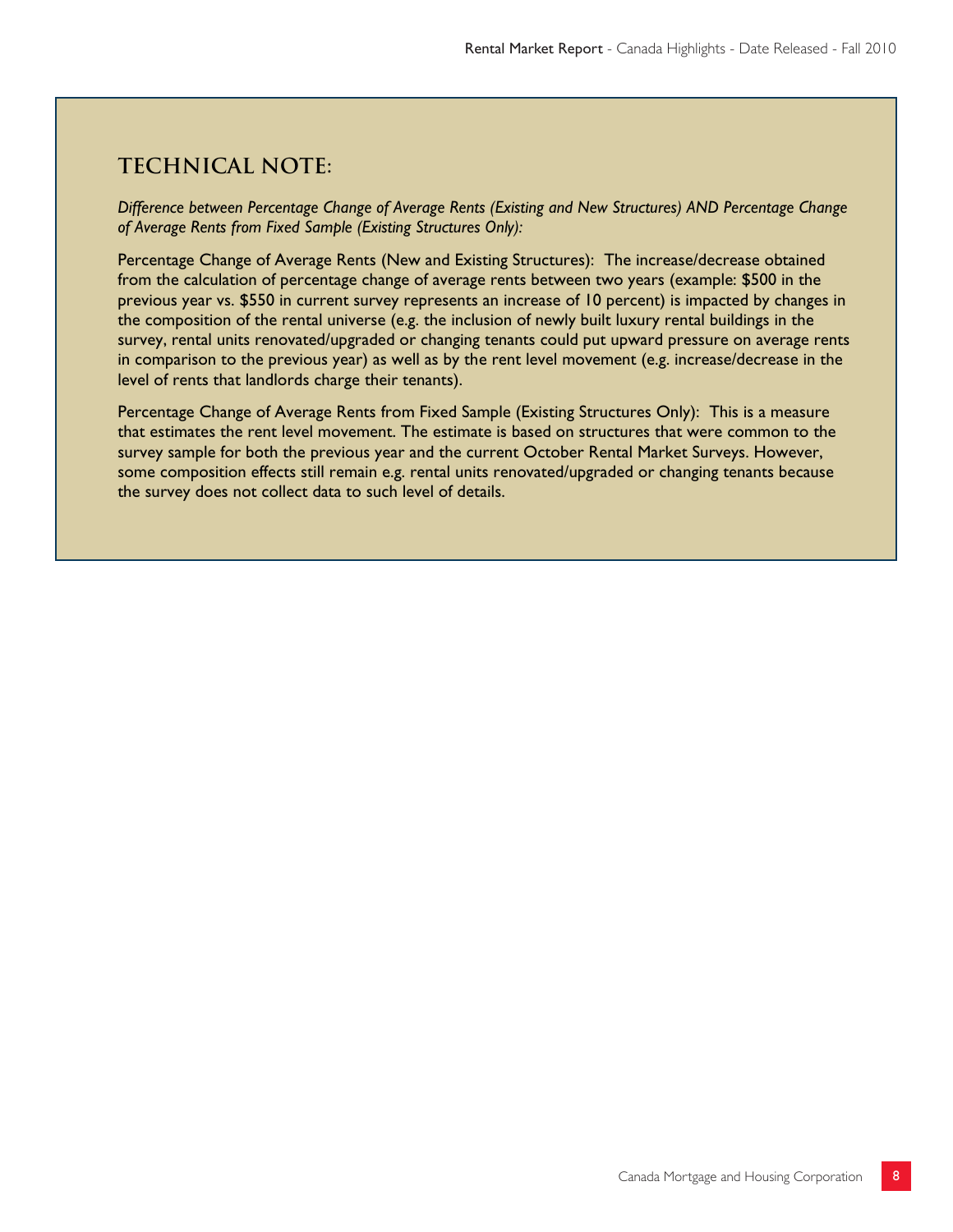# **Technical note:**

*Difference between Percentage Change of Average Rents (Existing and New Structures) AND Percentage Change of Average Rents from Fixed Sample (Existing Structures Only):*

Percentage Change of Average Rents (New and Existing Structures): The increase/decrease obtained from the calculation of percentage change of average rents between two years (example: \$500 in the previous year vs. \$550 in current survey represents an increase of 10 percent) is impacted by changes in the composition of the rental universe (e.g. the inclusion of newly built luxury rental buildings in the survey, rental units renovated/upgraded or changing tenants could put upward pressure on average rents in comparison to the previous year) as well as by the rent level movement (e.g. increase/decrease in the level of rents that landlords charge their tenants).

Percentage Change of Average Rents from Fixed Sample (Existing Structures Only): This is a measure that estimates the rent level movement. The estimate is based on structures that were common to the survey sample for both the previous year and the current October Rental Market Surveys. However, some composition effects still remain e.g. rental units renovated/upgraded or changing tenants because the survey does not collect data to such level of details.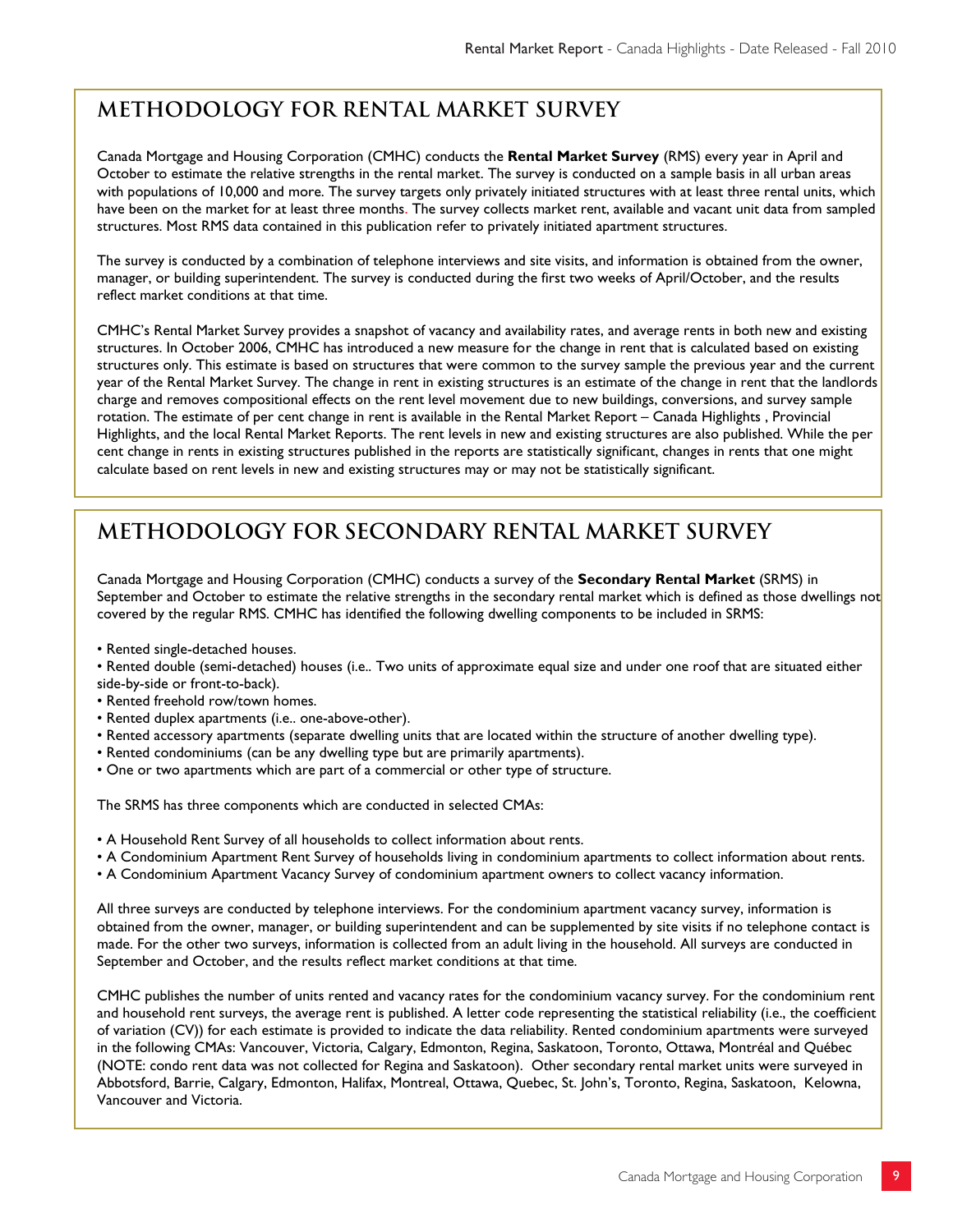# **METHODOLOGY FOR RENTAL MARKET SURVEY**

Canada Mortgage and Housing Corporation (CMHC) conducts the **Rental Market Survey** (RMS) every year in April and October to estimate the relative strengths in the rental market. The survey is conducted on a sample basis in all urban areas with populations of 10,000 and more. The survey targets only privately initiated structures with at least three rental units, which have been on the market for at least three months. The survey collects market rent, available and vacant unit data from sampled structures. Most RMS data contained in this publication refer to privately initiated apartment structures.

The survey is conducted by a combination of telephone interviews and site visits, and information is obtained from the owner, manager, or building superintendent. The survey is conducted during the first two weeks of April/October, and the results reflect market conditions at that time.

CMHC's Rental Market Survey provides a snapshot of vacancy and availability rates, and average rents in both new and existing structures. In October 2006, CMHC has introduced a new measure for the change in rent that is calculated based on existing structures only. This estimate is based on structures that were common to the survey sample the previous year and the current year of the Rental Market Survey. The change in rent in existing structures is an estimate of the change in rent that the landlords charge and removes compositional effects on the rent level movement due to new buildings, conversions, and survey sample rotation. The estimate of per cent change in rent is available in the Rental Market Report – Canada Highlights , Provincial Highlights, and the local Rental Market Reports. The rent levels in new and existing structures are also published. While the per cent change in rents in existing structures published in the reports are statistically significant, changes in rents that one might calculate based on rent levels in new and existing structures may or may not be statistically significant.

# **METHODOLOGY FOR SECONDARY RENTAL MARKET SURVEY**

Canada Mortgage and Housing Corporation (CMHC) conducts a survey of the **Secondary Rental Market** (SRMS) in September and October to estimate the relative strengths in the secondary rental market which is defined as those dwellings not covered by the regular RMS. CMHC has identified the following dwelling components to be included in SRMS:

- Rented single-detached houses.
- Rented double (semi-detached) houses (i.e.. Two units of approximate equal size and under one roof that are situated either side-by-side or front-to-back).
- Rented freehold row/town homes.
- Rented duplex apartments (i.e.. one-above-other).
- Rented accessory apartments (separate dwelling units that are located within the structure of another dwelling type).
- Rented condominiums (can be any dwelling type but are primarily apartments).
- One or two apartments which are part of a commercial or other type of structure.

The SRMS has three components which are conducted in selected CMAs:

- A Household Rent Survey of all households to collect information about rents.
- A Condominium Apartment Rent Survey of households living in condominium apartments to collect information about rents.
- A Condominium Apartment Vacancy Survey of condominium apartment owners to collect vacancy information.

All three surveys are conducted by telephone interviews. For the condominium apartment vacancy survey, information is obtained from the owner, manager, or building superintendent and can be supplemented by site visits if no telephone contact is made. For the other two surveys, information is collected from an adult living in the household. All surveys are conducted in September and October, and the results reflect market conditions at that time.

CMHC publishes the number of units rented and vacancy rates for the condominium vacancy survey. For the condominium rent and household rent surveys, the average rent is published. A letter code representing the statistical reliability (i.e., the coefficient of variation (CV)) for each estimate is provided to indicate the data reliability. Rented condominium apartments were surveyed in the following CMAs: Vancouver, Victoria, Calgary, Edmonton, Regina, Saskatoon, Toronto, Ottawa, Montréal and Québec (NOTE: condo rent data was not collected for Regina and Saskatoon). Other secondary rental market units were surveyed in Abbotsford, Barrie, Calgary, Edmonton, Halifax, Montreal, Ottawa, Quebec, St. John's, Toronto, Regina, Saskatoon, Kelowna, Vancouver and Victoria.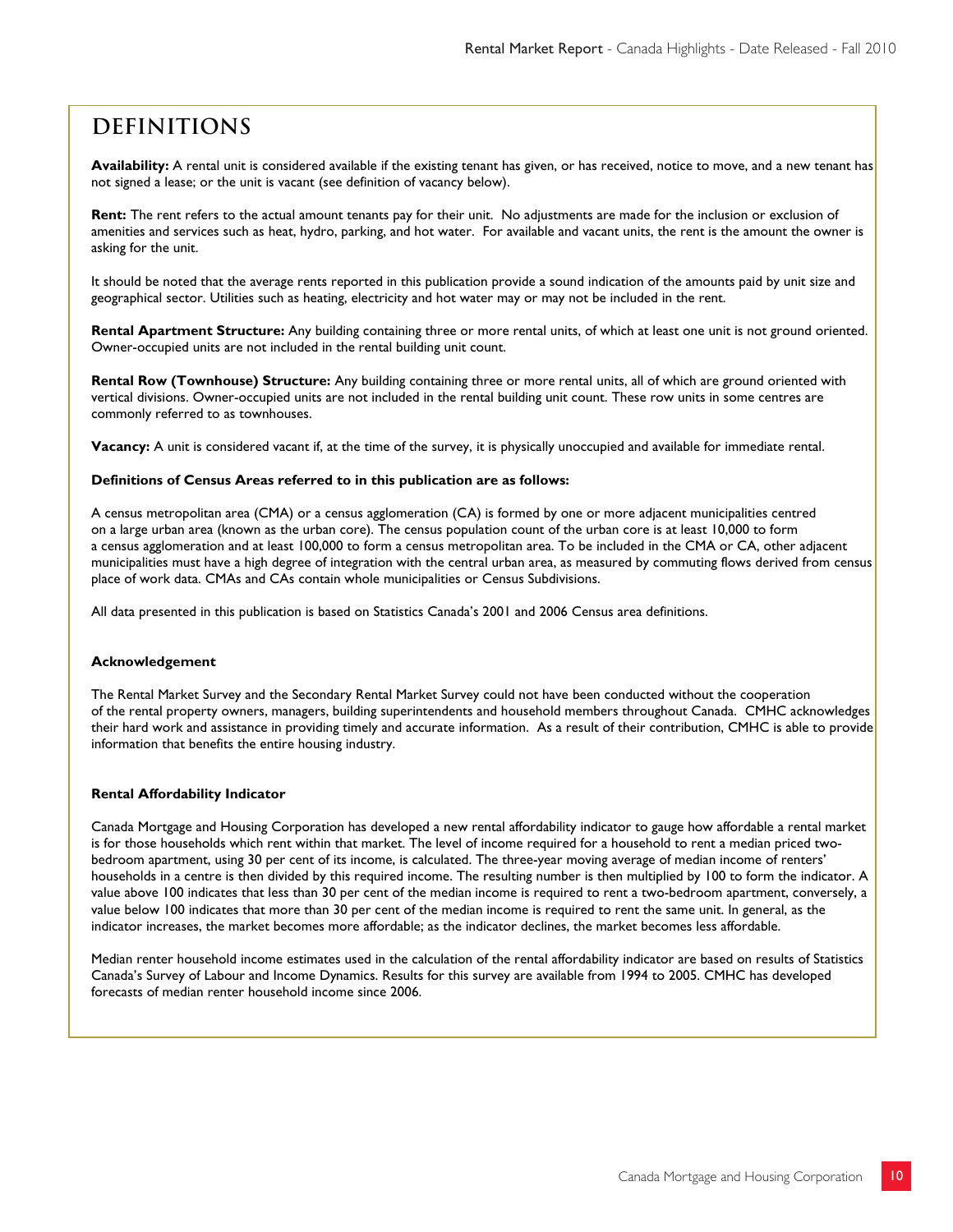# **Definitions**

**Availability:** A rental unit is considered available if the existing tenant has given, or has received, notice to move, and a new tenant has not signed a lease; or the unit is vacant (see definition of vacancy below).

**Rent:** The rent refers to the actual amount tenants pay for their unit. No adjustments are made for the inclusion or exclusion of amenities and services such as heat, hydro, parking, and hot water. For available and vacant units, the rent is the amount the owner is asking for the unit.

It should be noted that the average rents reported in this publication provide a sound indication of the amounts paid by unit size and geographical sector. Utilities such as heating, electricity and hot water may or may not be included in the rent.

**Rental Apartment Structure:** Any building containing three or more rental units, of which at least one unit is not ground oriented. Owner-occupied units are not included in the rental building unit count.

**Rental Row (Townhouse) Structure:** Any building containing three or more rental units, all of which are ground oriented with vertical divisions. Owner-occupied units are not included in the rental building unit count. These row units in some centres are commonly referred to as townhouses.

**Vacancy:** A unit is considered vacant if, at the time of the survey, it is physically unoccupied and available for immediate rental.

#### **Definitions of Census Areas referred to in this publication are as follows:**

A census metropolitan area (CMA) or a census agglomeration (CA) is formed by one or more adjacent municipalities centred on a large urban area (known as the urban core). The census population count of the urban core is at least 10,000 to form a census agglomeration and at least 100,000 to form a census metropolitan area. To be included in the CMA or CA, other adjacent municipalities must have a high degree of integration with the central urban area, as measured by commuting flows derived from census place of work data. CMAs and CAs contain whole municipalities or Census Subdivisions.

All data presented in this publication is based on Statistics Canada's 2001 and 2006 Census area definitions.

#### **Acknowledgement**

The Rental Market Survey and the Secondary Rental Market Survey could not have been conducted without the cooperation of the rental property owners, managers, building superintendents and household members throughout Canada. CMHC acknowledges their hard work and assistance in providing timely and accurate information. As a result of their contribution, CMHC is able to provide information that benefits the entire housing industry.

#### **Rental Affordability Indicator**

Canada Mortgage and Housing Corporation has developed a new rental affordability indicator to gauge how affordable a rental market is for those households which rent within that market. The level of income required for a household to rent a median priced twobedroom apartment, using 30 per cent of its income, is calculated. The three-year moving average of median income of renters' households in a centre is then divided by this required income. The resulting number is then multiplied by 100 to form the indicator. A value above 100 indicates that less than 30 per cent of the median income is required to rent a two-bedroom apartment, conversely, a value below 100 indicates that more than 30 per cent of the median income is required to rent the same unit. In general, as the indicator increases, the market becomes more affordable; as the indicator declines, the market becomes less affordable.

Median renter household income estimates used in the calculation of the rental affordability indicator are based on results of Statistics Canada's Survey of Labour and Income Dynamics. Results for this survey are available from 1994 to 2005. CMHC has developed forecasts of median renter household income since 2006.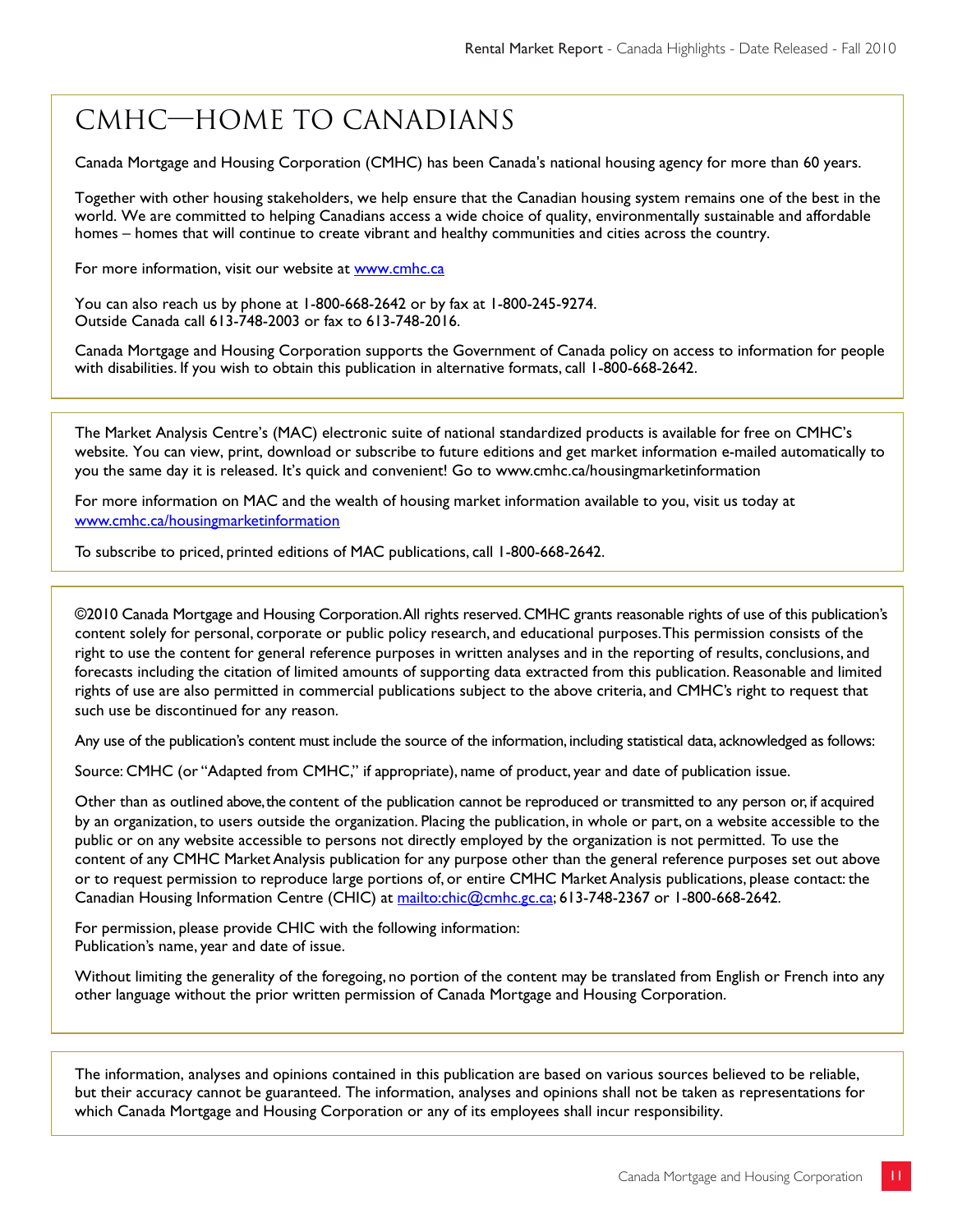# CMHC—Home to Canadians

Canada Mortgage and Housing Corporation (CMHC) has been Canada's national housing agency for more than 60 years.

Together with other housing stakeholders, we help ensure that the Canadian housing system remains one of the best in the world. We are committed to helping Canadians access a wide choice of quality, environmentally sustainable and affordable homes – homes that will continue to create vibrant and healthy communities and cities across the country.

For more information, visit our website at www.cmhc.ca

You can also reach us by phone at 1-800-668-2642 or by fax at 1-800-245-9274. Outside Canada call 613-748-2003 or fax to 613-748-2016.

Canada Mortgage and Housing Corporation supports the Government of Canada policy on access to information for people with disabilities. If you wish to obtain this publication in alternative formats, call 1-800-668-2642.

The Market Analysis Centre's (MAC) electronic suite of national standardized products is available for free on CMHC's website. You can view, print, download or subscribe to future editions and get market information e-mailed automatically to you the same day it is released. It's quick and convenient! Go to www.cmhc.ca/housingmarketinformation

For more information on MAC and the wealth of housing market information available to you, visit us today at www.cmhc.ca/housingmarketinformation

To subscribe to priced, printed editions of MAC publications, call 1-800-668-2642.

©2010 Canada Mortgage and Housing Corporation. All rights reserved. CMHC grants reasonable rights of use of this publication's content solely for personal, corporate or public policy research, and educational purposes. This permission consists of the right to use the content for general reference purposes in written analyses and in the reporting of results, conclusions, and forecasts including the citation of limited amounts of supporting data extracted from this publication. Reasonable and limited rights of use are also permitted in commercial publications subject to the above criteria, and CMHC's right to request that such use be discontinued for any reason.

Any use of the publication's content must include the source of the information, including statistical data, acknowledged as follows:

Source: CMHC (or "Adapted from CMHC," if appropriate), name of product, year and date of publication issue.

Other than as outlined above, the content of the publication cannot be reproduced or transmitted to any person or, if acquired by an organization, to users outside the organization. Placing the publication, in whole or part, on a website accessible to the public or on any website accessible to persons not directly employed by the organization is not permitted. To use the content of any CMHC Market Analysis publication for any purpose other than the general reference purposes set out above or to request permission to reproduce large portions of, or entire CMHC Market Analysis publications, please contact: the Canadian Housing Information Centre (CHIC) at mailto:chic@cmhc.gc.ca; 613-748-2367 or 1-800-668-2642.

For permission, please provide CHIC with the following information: Publication's name, year and date of issue.

Without limiting the generality of the foregoing, no portion of the content may be translated from English or French into any other language without the prior written permission of Canada Mortgage and Housing Corporation.

The information, analyses and opinions contained in this publication are based on various sources believed to be reliable, but their accuracy cannot be guaranteed. The information, analyses and opinions shall not be taken as representations for which Canada Mortgage and Housing Corporation or any of its employees shall incur responsibility.